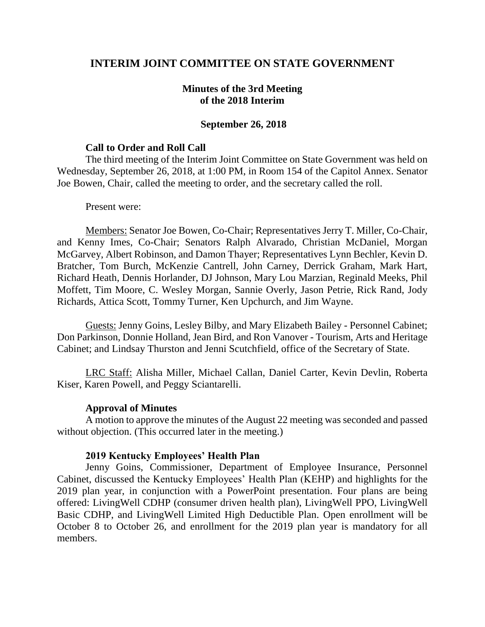# **INTERIM JOINT COMMITTEE ON STATE GOVERNMENT**

### **Minutes of the 3rd Meeting of the 2018 Interim**

### **September 26, 2018**

#### **Call to Order and Roll Call**

The third meeting of the Interim Joint Committee on State Government was held on Wednesday, September 26, 2018, at 1:00 PM, in Room 154 of the Capitol Annex. Senator Joe Bowen, Chair, called the meeting to order, and the secretary called the roll.

#### Present were:

Members: Senator Joe Bowen, Co-Chair; Representatives Jerry T. Miller, Co-Chair, and Kenny Imes, Co-Chair; Senators Ralph Alvarado, Christian McDaniel, Morgan McGarvey, Albert Robinson, and Damon Thayer; Representatives Lynn Bechler, Kevin D. Bratcher, Tom Burch, McKenzie Cantrell, John Carney, Derrick Graham, Mark Hart, Richard Heath, Dennis Horlander, DJ Johnson, Mary Lou Marzian, Reginald Meeks, Phil Moffett, Tim Moore, C. Wesley Morgan, Sannie Overly, Jason Petrie, Rick Rand, Jody Richards, Attica Scott, Tommy Turner, Ken Upchurch, and Jim Wayne.

Guests: Jenny Goins, Lesley Bilby, and Mary Elizabeth Bailey - Personnel Cabinet; Don Parkinson, Donnie Holland, Jean Bird, and Ron Vanover - Tourism, Arts and Heritage Cabinet; and Lindsay Thurston and Jenni Scutchfield, office of the Secretary of State.

LRC Staff: Alisha Miller, Michael Callan, Daniel Carter, Kevin Devlin, Roberta Kiser, Karen Powell, and Peggy Sciantarelli.

### **Approval of Minutes**

A motion to approve the minutes of the August 22 meeting was seconded and passed without objection. (This occurred later in the meeting.)

#### **2019 Kentucky Employees' Health Plan**

Jenny Goins, Commissioner, Department of Employee Insurance, Personnel Cabinet, discussed the Kentucky Employees' Health Plan (KEHP) and highlights for the 2019 plan year, in conjunction with a PowerPoint presentation. Four plans are being offered: LivingWell CDHP (consumer driven health plan), LivingWell PPO, LivingWell Basic CDHP, and LivingWell Limited High Deductible Plan. Open enrollment will be October 8 to October 26, and enrollment for the 2019 plan year is mandatory for all members.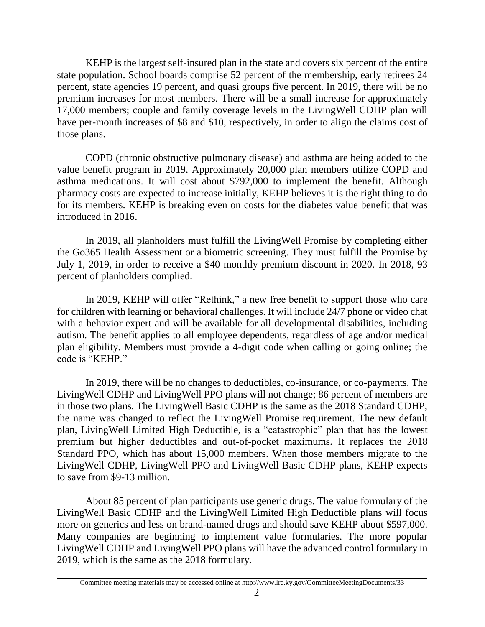KEHP is the largest self-insured plan in the state and covers six percent of the entire state population. School boards comprise 52 percent of the membership, early retirees 24 percent, state agencies 19 percent, and quasi groups five percent. In 2019, there will be no premium increases for most members. There will be a small increase for approximately 17,000 members; couple and family coverage levels in the LivingWell CDHP plan will have per-month increases of \$8 and \$10, respectively, in order to align the claims cost of those plans.

COPD (chronic obstructive pulmonary disease) and asthma are being added to the value benefit program in 2019. Approximately 20,000 plan members utilize COPD and asthma medications. It will cost about \$792,000 to implement the benefit. Although pharmacy costs are expected to increase initially, KEHP believes it is the right thing to do for its members. KEHP is breaking even on costs for the diabetes value benefit that was introduced in 2016.

In 2019, all planholders must fulfill the LivingWell Promise by completing either the Go365 Health Assessment or a biometric screening. They must fulfill the Promise by July 1, 2019, in order to receive a \$40 monthly premium discount in 2020. In 2018, 93 percent of planholders complied.

In 2019, KEHP will offer "Rethink," a new free benefit to support those who care for children with learning or behavioral challenges. It will include 24/7 phone or video chat with a behavior expert and will be available for all developmental disabilities, including autism. The benefit applies to all employee dependents, regardless of age and/or medical plan eligibility. Members must provide a 4-digit code when calling or going online; the code is "KEHP."

In 2019, there will be no changes to deductibles, co-insurance, or co-payments. The LivingWell CDHP and LivingWell PPO plans will not change; 86 percent of members are in those two plans. The LivingWell Basic CDHP is the same as the 2018 Standard CDHP; the name was changed to reflect the LivingWell Promise requirement. The new default plan, LivingWell Limited High Deductible, is a "catastrophic" plan that has the lowest premium but higher deductibles and out-of-pocket maximums. It replaces the 2018 Standard PPO, which has about 15,000 members. When those members migrate to the LivingWell CDHP, LivingWell PPO and LivingWell Basic CDHP plans, KEHP expects to save from \$9-13 million.

About 85 percent of plan participants use generic drugs. The value formulary of the LivingWell Basic CDHP and the LivingWell Limited High Deductible plans will focus more on generics and less on brand-named drugs and should save KEHP about \$597,000. Many companies are beginning to implement value formularies. The more popular LivingWell CDHP and LivingWell PPO plans will have the advanced control formulary in 2019, which is the same as the 2018 formulary.

Committee meeting materials may be accessed online at http://www.lrc.ky.gov/CommitteeMeetingDocuments/33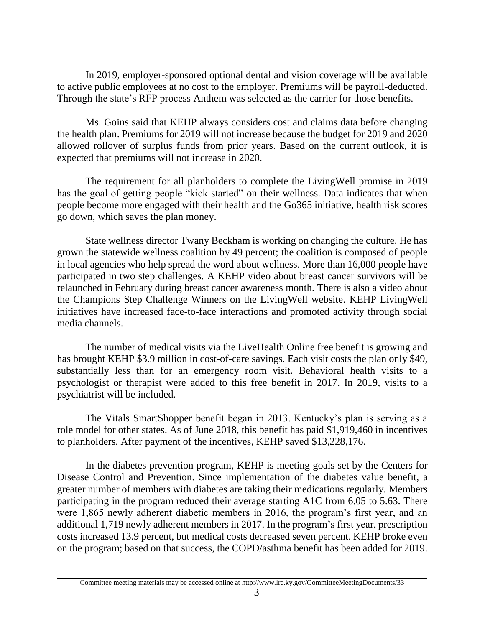In 2019, employer-sponsored optional dental and vision coverage will be available to active public employees at no cost to the employer. Premiums will be payroll-deducted. Through the state's RFP process Anthem was selected as the carrier for those benefits.

Ms. Goins said that KEHP always considers cost and claims data before changing the health plan. Premiums for 2019 will not increase because the budget for 2019 and 2020 allowed rollover of surplus funds from prior years. Based on the current outlook, it is expected that premiums will not increase in 2020.

The requirement for all planholders to complete the LivingWell promise in 2019 has the goal of getting people "kick started" on their wellness. Data indicates that when people become more engaged with their health and the Go365 initiative, health risk scores go down, which saves the plan money.

State wellness director Twany Beckham is working on changing the culture. He has grown the statewide wellness coalition by 49 percent; the coalition is composed of people in local agencies who help spread the word about wellness. More than 16,000 people have participated in two step challenges. A KEHP video about breast cancer survivors will be relaunched in February during breast cancer awareness month. There is also a video about the Champions Step Challenge Winners on the LivingWell website. KEHP LivingWell initiatives have increased face-to-face interactions and promoted activity through social media channels.

The number of medical visits via the LiveHealth Online free benefit is growing and has brought KEHP \$3.9 million in cost-of-care savings. Each visit costs the plan only \$49, substantially less than for an emergency room visit. Behavioral health visits to a psychologist or therapist were added to this free benefit in 2017. In 2019, visits to a psychiatrist will be included.

The Vitals SmartShopper benefit began in 2013. Kentucky's plan is serving as a role model for other states. As of June 2018, this benefit has paid \$1,919,460 in incentives to planholders. After payment of the incentives, KEHP saved \$13,228,176.

In the diabetes prevention program, KEHP is meeting goals set by the Centers for Disease Control and Prevention. Since implementation of the diabetes value benefit, a greater number of members with diabetes are taking their medications regularly. Members participating in the program reduced their average starting A1C from 6.05 to 5.63. There were 1,865 newly adherent diabetic members in 2016, the program's first year, and an additional 1,719 newly adherent members in 2017. In the program's first year, prescription costs increased 13.9 percent, but medical costs decreased seven percent. KEHP broke even on the program; based on that success, the COPD/asthma benefit has been added for 2019.

Committee meeting materials may be accessed online at http://www.lrc.ky.gov/CommitteeMeetingDocuments/33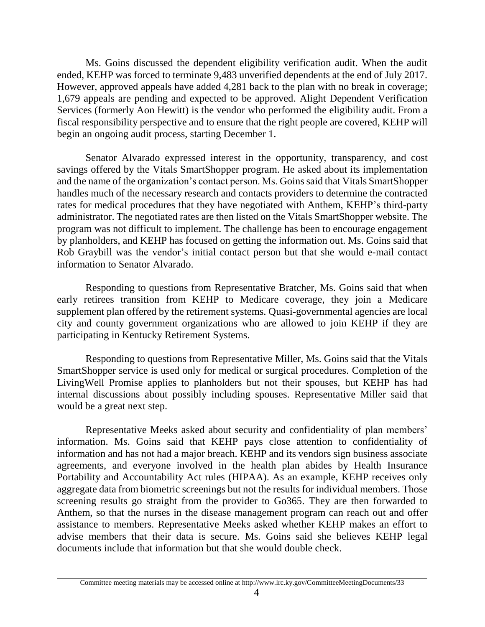Ms. Goins discussed the dependent eligibility verification audit. When the audit ended, KEHP was forced to terminate 9,483 unverified dependents at the end of July 2017. However, approved appeals have added 4,281 back to the plan with no break in coverage; 1,679 appeals are pending and expected to be approved. Alight Dependent Verification Services (formerly Aon Hewitt) is the vendor who performed the eligibility audit. From a fiscal responsibility perspective and to ensure that the right people are covered, KEHP will begin an ongoing audit process, starting December 1.

Senator Alvarado expressed interest in the opportunity, transparency, and cost savings offered by the Vitals SmartShopper program. He asked about its implementation and the name of the organization's contact person. Ms. Goins said that Vitals SmartShopper handles much of the necessary research and contacts providers to determine the contracted rates for medical procedures that they have negotiated with Anthem, KEHP's third-party administrator. The negotiated rates are then listed on the Vitals SmartShopper website. The program was not difficult to implement. The challenge has been to encourage engagement by planholders, and KEHP has focused on getting the information out. Ms. Goins said that Rob Graybill was the vendor's initial contact person but that she would e-mail contact information to Senator Alvarado.

Responding to questions from Representative Bratcher, Ms. Goins said that when early retirees transition from KEHP to Medicare coverage, they join a Medicare supplement plan offered by the retirement systems. Quasi-governmental agencies are local city and county government organizations who are allowed to join KEHP if they are participating in Kentucky Retirement Systems.

Responding to questions from Representative Miller, Ms. Goins said that the Vitals SmartShopper service is used only for medical or surgical procedures. Completion of the LivingWell Promise applies to planholders but not their spouses, but KEHP has had internal discussions about possibly including spouses. Representative Miller said that would be a great next step.

Representative Meeks asked about security and confidentiality of plan members' information. Ms. Goins said that KEHP pays close attention to confidentiality of information and has not had a major breach. KEHP and its vendors sign business associate agreements, and everyone involved in the health plan abides by Health Insurance Portability and Accountability Act rules (HIPAA). As an example, KEHP receives only aggregate data from biometric screenings but not the results for individual members. Those screening results go straight from the provider to Go365. They are then forwarded to Anthem, so that the nurses in the disease management program can reach out and offer assistance to members. Representative Meeks asked whether KEHP makes an effort to advise members that their data is secure. Ms. Goins said she believes KEHP legal documents include that information but that she would double check.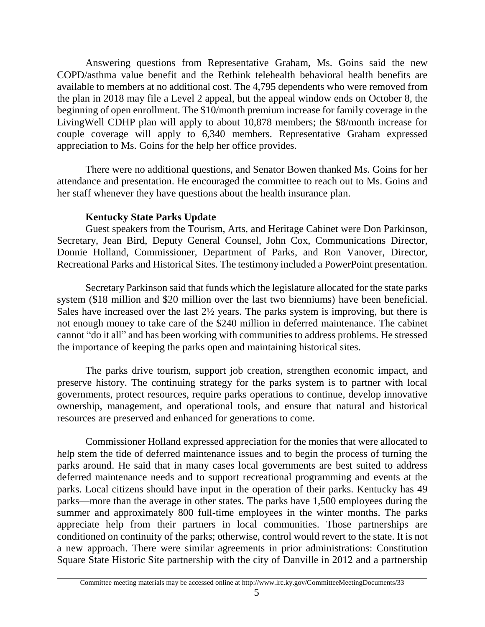Answering questions from Representative Graham, Ms. Goins said the new COPD/asthma value benefit and the Rethink telehealth behavioral health benefits are available to members at no additional cost. The 4,795 dependents who were removed from the plan in 2018 may file a Level 2 appeal, but the appeal window ends on October 8, the beginning of open enrollment. The \$10/month premium increase for family coverage in the LivingWell CDHP plan will apply to about 10,878 members; the \$8/month increase for couple coverage will apply to 6,340 members. Representative Graham expressed appreciation to Ms. Goins for the help her office provides.

There were no additional questions, and Senator Bowen thanked Ms. Goins for her attendance and presentation. He encouraged the committee to reach out to Ms. Goins and her staff whenever they have questions about the health insurance plan.

## **Kentucky State Parks Update**

Guest speakers from the Tourism, Arts, and Heritage Cabinet were Don Parkinson, Secretary, Jean Bird, Deputy General Counsel, John Cox, Communications Director, Donnie Holland, Commissioner, Department of Parks, and Ron Vanover, Director, Recreational Parks and Historical Sites. The testimony included a PowerPoint presentation.

Secretary Parkinson said that funds which the legislature allocated for the state parks system (\$18 million and \$20 million over the last two bienniums) have been beneficial. Sales have increased over the last 2½ years. The parks system is improving, but there is not enough money to take care of the \$240 million in deferred maintenance. The cabinet cannot "do it all" and has been working with communities to address problems. He stressed the importance of keeping the parks open and maintaining historical sites.

The parks drive tourism, support job creation, strengthen economic impact, and preserve history. The continuing strategy for the parks system is to partner with local governments, protect resources, require parks operations to continue, develop innovative ownership, management, and operational tools, and ensure that natural and historical resources are preserved and enhanced for generations to come.

Commissioner Holland expressed appreciation for the monies that were allocated to help stem the tide of deferred maintenance issues and to begin the process of turning the parks around. He said that in many cases local governments are best suited to address deferred maintenance needs and to support recreational programming and events at the parks. Local citizens should have input in the operation of their parks. Kentucky has 49 parks—more than the average in other states. The parks have 1,500 employees during the summer and approximately 800 full-time employees in the winter months. The parks appreciate help from their partners in local communities. Those partnerships are conditioned on continuity of the parks; otherwise, control would revert to the state. It is not a new approach. There were similar agreements in prior administrations: Constitution Square State Historic Site partnership with the city of Danville in 2012 and a partnership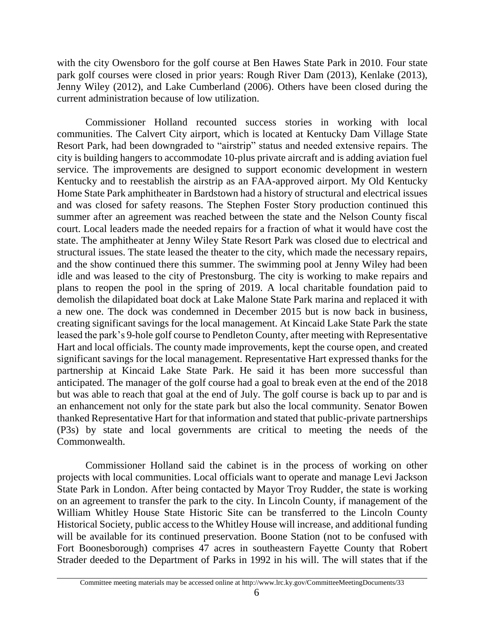with the city Owensboro for the golf course at Ben Hawes State Park in 2010. Four state park golf courses were closed in prior years: Rough River Dam (2013), Kenlake (2013), Jenny Wiley (2012), and Lake Cumberland (2006). Others have been closed during the current administration because of low utilization.

Commissioner Holland recounted success stories in working with local communities. The Calvert City airport, which is located at Kentucky Dam Village State Resort Park, had been downgraded to "airstrip" status and needed extensive repairs. The city is building hangers to accommodate 10-plus private aircraft and is adding aviation fuel service. The improvements are designed to support economic development in western Kentucky and to reestablish the airstrip as an FAA-approved airport. My Old Kentucky Home State Park amphitheater in Bardstown had a history of structural and electrical issues and was closed for safety reasons. The Stephen Foster Story production continued this summer after an agreement was reached between the state and the Nelson County fiscal court. Local leaders made the needed repairs for a fraction of what it would have cost the state. The amphitheater at Jenny Wiley State Resort Park was closed due to electrical and structural issues. The state leased the theater to the city, which made the necessary repairs, and the show continued there this summer. The swimming pool at Jenny Wiley had been idle and was leased to the city of Prestonsburg. The city is working to make repairs and plans to reopen the pool in the spring of 2019. A local charitable foundation paid to demolish the dilapidated boat dock at Lake Malone State Park marina and replaced it with a new one. The dock was condemned in December 2015 but is now back in business, creating significant savings for the local management. At Kincaid Lake State Park the state leased the park's 9-hole golf course to Pendleton County, after meeting with Representative Hart and local officials. The county made improvements, kept the course open, and created significant savings for the local management. Representative Hart expressed thanks for the partnership at Kincaid Lake State Park. He said it has been more successful than anticipated. The manager of the golf course had a goal to break even at the end of the 2018 but was able to reach that goal at the end of July. The golf course is back up to par and is an enhancement not only for the state park but also the local community. Senator Bowen thanked Representative Hart for that information and stated that public-private partnerships (P3s) by state and local governments are critical to meeting the needs of the Commonwealth.

Commissioner Holland said the cabinet is in the process of working on other projects with local communities. Local officials want to operate and manage Levi Jackson State Park in London. After being contacted by Mayor Troy Rudder, the state is working on an agreement to transfer the park to the city. In Lincoln County, if management of the William Whitley House State Historic Site can be transferred to the Lincoln County Historical Society, public access to the Whitley House will increase, and additional funding will be available for its continued preservation. Boone Station (not to be confused with Fort Boonesborough) comprises 47 acres in southeastern Fayette County that Robert Strader deeded to the Department of Parks in 1992 in his will. The will states that if the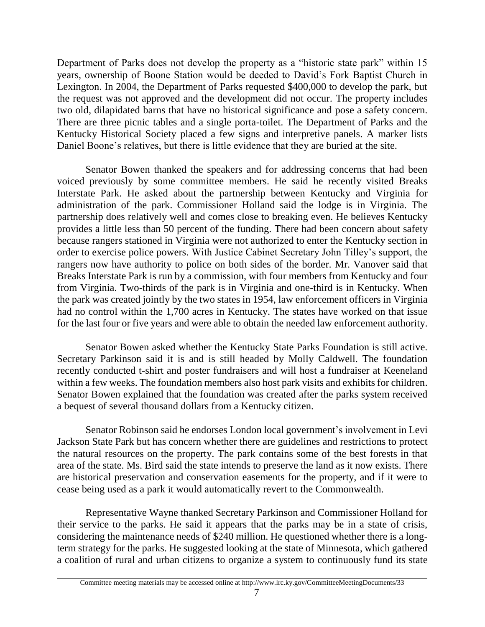Department of Parks does not develop the property as a "historic state park" within 15 years, ownership of Boone Station would be deeded to David's Fork Baptist Church in Lexington. In 2004, the Department of Parks requested \$400,000 to develop the park, but the request was not approved and the development did not occur. The property includes two old, dilapidated barns that have no historical significance and pose a safety concern. There are three picnic tables and a single porta-toilet. The Department of Parks and the Kentucky Historical Society placed a few signs and interpretive panels. A marker lists Daniel Boone's relatives, but there is little evidence that they are buried at the site.

Senator Bowen thanked the speakers and for addressing concerns that had been voiced previously by some committee members. He said he recently visited Breaks Interstate Park. He asked about the partnership between Kentucky and Virginia for administration of the park. Commissioner Holland said the lodge is in Virginia. The partnership does relatively well and comes close to breaking even. He believes Kentucky provides a little less than 50 percent of the funding. There had been concern about safety because rangers stationed in Virginia were not authorized to enter the Kentucky section in order to exercise police powers. With Justice Cabinet Secretary John Tilley's support, the rangers now have authority to police on both sides of the border. Mr. Vanover said that Breaks Interstate Park is run by a commission, with four members from Kentucky and four from Virginia. Two-thirds of the park is in Virginia and one-third is in Kentucky. When the park was created jointly by the two states in 1954, law enforcement officers in Virginia had no control within the 1,700 acres in Kentucky. The states have worked on that issue for the last four or five years and were able to obtain the needed law enforcement authority.

Senator Bowen asked whether the Kentucky State Parks Foundation is still active. Secretary Parkinson said it is and is still headed by Molly Caldwell. The foundation recently conducted t-shirt and poster fundraisers and will host a fundraiser at Keeneland within a few weeks. The foundation members also host park visits and exhibits for children. Senator Bowen explained that the foundation was created after the parks system received a bequest of several thousand dollars from a Kentucky citizen.

Senator Robinson said he endorses London local government's involvement in Levi Jackson State Park but has concern whether there are guidelines and restrictions to protect the natural resources on the property. The park contains some of the best forests in that area of the state. Ms. Bird said the state intends to preserve the land as it now exists. There are historical preservation and conservation easements for the property, and if it were to cease being used as a park it would automatically revert to the Commonwealth.

Representative Wayne thanked Secretary Parkinson and Commissioner Holland for their service to the parks. He said it appears that the parks may be in a state of crisis, considering the maintenance needs of \$240 million. He questioned whether there is a longterm strategy for the parks. He suggested looking at the state of Minnesota, which gathered a coalition of rural and urban citizens to organize a system to continuously fund its state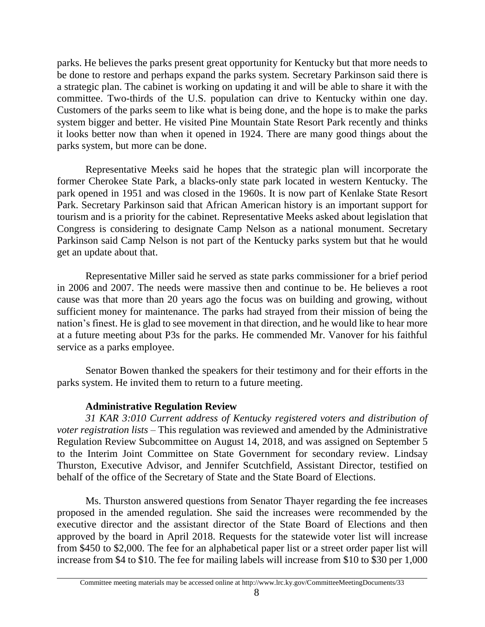parks. He believes the parks present great opportunity for Kentucky but that more needs to be done to restore and perhaps expand the parks system. Secretary Parkinson said there is a strategic plan. The cabinet is working on updating it and will be able to share it with the committee. Two-thirds of the U.S. population can drive to Kentucky within one day. Customers of the parks seem to like what is being done, and the hope is to make the parks system bigger and better. He visited Pine Mountain State Resort Park recently and thinks it looks better now than when it opened in 1924. There are many good things about the parks system, but more can be done.

Representative Meeks said he hopes that the strategic plan will incorporate the former Cherokee State Park, a blacks-only state park located in western Kentucky. The park opened in 1951 and was closed in the 1960s. It is now part of Kenlake State Resort Park. Secretary Parkinson said that African American history is an important support for tourism and is a priority for the cabinet. Representative Meeks asked about legislation that Congress is considering to designate Camp Nelson as a national monument. Secretary Parkinson said Camp Nelson is not part of the Kentucky parks system but that he would get an update about that.

Representative Miller said he served as state parks commissioner for a brief period in 2006 and 2007. The needs were massive then and continue to be. He believes a root cause was that more than 20 years ago the focus was on building and growing, without sufficient money for maintenance. The parks had strayed from their mission of being the nation's finest. He is glad to see movement in that direction, and he would like to hear more at a future meeting about P3s for the parks. He commended Mr. Vanover for his faithful service as a parks employee.

Senator Bowen thanked the speakers for their testimony and for their efforts in the parks system. He invited them to return to a future meeting.

# **Administrative Regulation Review**

*31 KAR 3:010 Current address of Kentucky registered voters and distribution of voter registration lists* – This regulation was reviewed and amended by the Administrative Regulation Review Subcommittee on August 14, 2018, and was assigned on September 5 to the Interim Joint Committee on State Government for secondary review. Lindsay Thurston, Executive Advisor, and Jennifer Scutchfield, Assistant Director, testified on behalf of the office of the Secretary of State and the State Board of Elections.

Ms. Thurston answered questions from Senator Thayer regarding the fee increases proposed in the amended regulation. She said the increases were recommended by the executive director and the assistant director of the State Board of Elections and then approved by the board in April 2018. Requests for the statewide voter list will increase from \$450 to \$2,000. The fee for an alphabetical paper list or a street order paper list will increase from \$4 to \$10. The fee for mailing labels will increase from \$10 to \$30 per 1,000